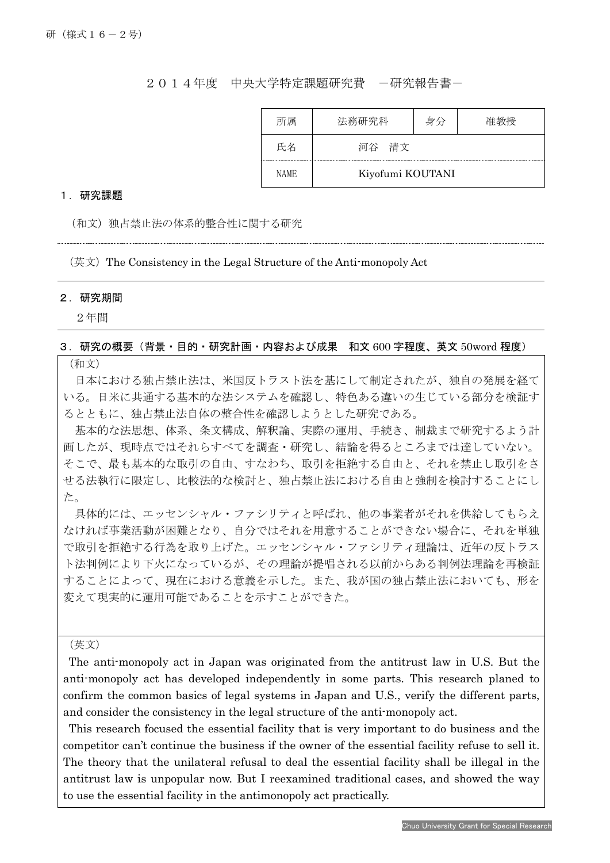## 2014年度 中央大学特定課題研究費 一研究報告書一

| 所属          | 法務研究科 | 身分               | 隹教授 |  |  |  |  |  |
|-------------|-------|------------------|-----|--|--|--|--|--|
| 氏名          | 河谷 清文 |                  |     |  |  |  |  |  |
| <b>NAME</b> |       | Kiyofumi KOUTANI |     |  |  |  |  |  |

### 1.研究課題

(和文)独占禁止法の体系的整合性に関する研究

(英文)The Consistency in the Legal Structure of the Anti-monopoly Act

#### 2.研究期間

Ī

2年間

## 3.研究の概要(背景・目的・研究計画・内容および成果 和文 600 字程度、英文 50word 程度)

(和文)

日本における独占禁止法は、米国反トラスト法を基にして制定されたが、独自の発展を経て いる。日米に共通する基本的な法システムを確認し、特色ある違いの生じている部分を検証す るとともに、独占禁止法自体の整合性を確認しようとした研究である。

基本的な法思想、体系、条文構成、解釈論、実際の運用、手続き、制裁まで研究するよう計 画したが、現時点ではそれらすべてを調査・研究し、結論を得るところまでは達していない。 そこで、最も基本的な取引の自由、すなわち、取引を拒絶する自由と、それを禁止し取引をさ せる法執行に限定し、比較法的な検討と、独占禁止法における自由と強制を検討することにし た。

具体的には、エッセンシャル・ファシリティと呼ばれ、他の事業者がそれを供給してもらえ なければ事業活動が困難となり、自分ではそれを用意することができない場合に、それを単独 で取引を拒絶する行為を取り上げた。エッセンシャル・ファシリティ理論は、近年の反トラス ト法判例により下火になっているが、その理論が提唱される以前からある判例法理論を再検証 することによって、現在における意義を示した。また、我が国の独占禁止法においても、形を 変えて現実的に運用可能であることを示すことができた。

(英文)

The anti-monopoly act in Japan was originated from the antitrust law in U.S. But the anti-monopoly act has developed independently in some parts. This research planed to confirm the common basics of legal systems in Japan and U.S., verify the different parts, and consider the consistency in the legal structure of the anti-monopoly act.

This research focused the essential facility that is very important to do business and the competitor can't continue the business if the owner of the essential facility refuse to sell it. The theory that the unilateral refusal to deal the essential facility shall be illegal in the antitrust law is unpopular now. But I reexamined traditional cases, and showed the way to use the essential facility in the antimonopoly act practically.